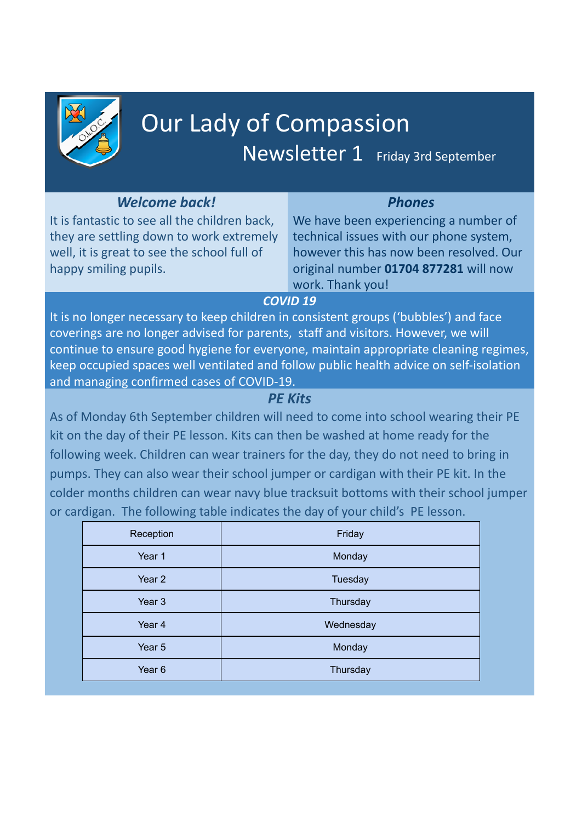

# Our Lady of Compassion Newsletter 1 Friday 3rd September

# *Welcome back!*

It is fantastic to see all the children back, they are settling down to work extremely well, it is great to see the school full of happy smiling pupils.

*Phones* We have been experiencing a number of technical issues with our phone system, however this has now been resolved. Our original number **01704 877281** will now work. Thank you!

## *COVID 19*

It is no longer necessary to keep children in consistent groups ('bubbles') and face coverings are no longer advised for parents, staff and visitors. However, we will continue to ensure good hygiene for everyone, maintain appropriate cleaning regimes, keep occupied spaces well ventilated and follow public health advice on self-isolation and managing confirmed cases of COVID-19.

# *PE Kits*

As of Monday 6th September children will need to come into school wearing their PE kit on the day of their PE lesson. Kits can then be washed at home ready for the following week. Children can wear trainers for the day, they do not need to bring in pumps. They can also wear their school jumper or cardigan with their PE kit. In the colder months children can wear navy blue tracksuit bottoms with their school jumper or cardigan. The following table indicates the day of your child's PE lesson.

| Reception         | Friday    |
|-------------------|-----------|
| Year 1            | Monday    |
| Year <sub>2</sub> | Tuesday   |
| Year <sub>3</sub> | Thursday  |
| Year 4            | Wednesday |
| Year 5            | Monday    |
| Year <sub>6</sub> | Thursday  |